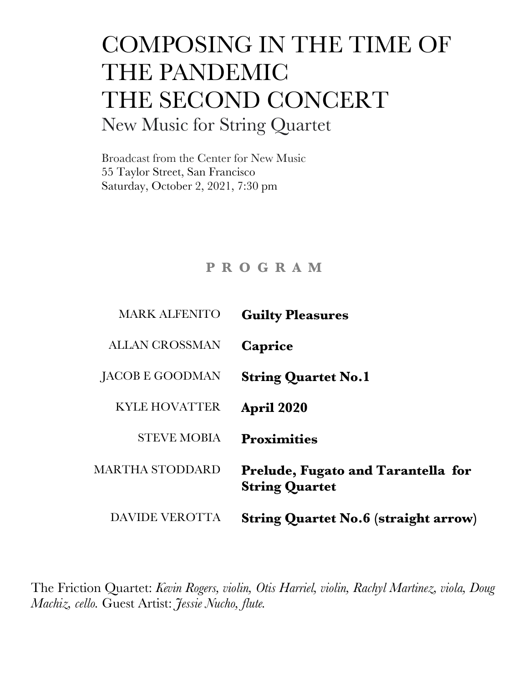## COMPOSING IN THE TIME OF THE PANDEMIC THE SECOND CONCERT New Music for String Quartet

Broadcast from the Center for New Music 55 Taylor Street, San Francisco Saturday, October 2, 2021, 7:30 pm

## **P R O G R A M**

| <b>MARK ALFENITO</b>  | <b>Guilty Pleasures</b>                                     |
|-----------------------|-------------------------------------------------------------|
| <b>ALLAN CROSSMAN</b> | Caprice                                                     |
| JACOB E GOODMAN       | <b>String Quartet No.1</b>                                  |
| <b>KYLE HOVATTER</b>  | <b>April 2020</b>                                           |
| <b>STEVE MOBIA</b>    | <b>Proximities</b>                                          |
| MARTHA STODDARD       | Prelude, Fugato and Tarantella for<br><b>String Quartet</b> |
| <b>DAVIDE VEROTTA</b> | <b>String Quartet No.6 (straight arrow)</b>                 |

The Friction Quartet: *Kevin Rogers, violin, Otis Harriel, violin, Rachyl Martinez, viola, Doug Machiz, cello.* Guest Artist: *Jessie Nucho, flute.*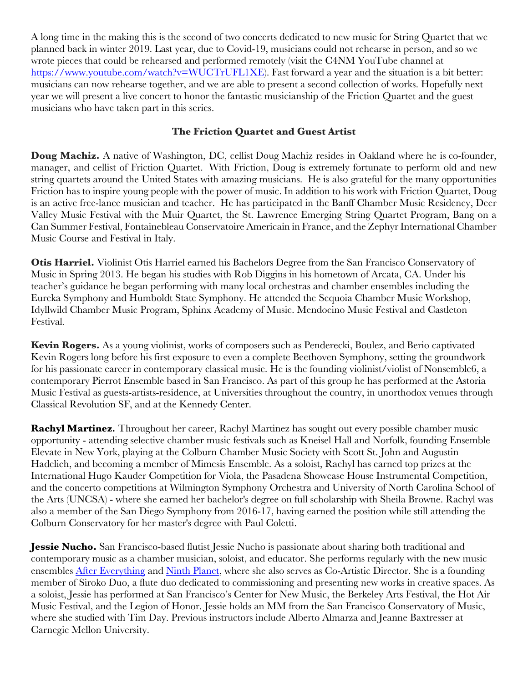A long time in the making this is the second of two concerts dedicated to new music for String Quartet that we planned back in winter 2019. Last year, due to Covid-19, musicians could not rehearse in person, and so we wrote pieces that could be rehearsed and performed remotely (visit the C4NM YouTube channel at https://www.youtube.com/watch?v=WUCTrUFL1XE). Fast forward a year and the situation is a bit better: musicians can now rehearse together, and we are able to present a second collection of works. Hopefully next year we will present a live concert to honor the fantastic musicianship of the Friction Quartet and the guest musicians who have taken part in this series.

## **The Friction Quartet and Guest Artist**

**Doug Machiz.** A native of Washington, DC, cellist Doug Machiz resides in Oakland where he is co-founder, manager, and cellist of Friction Quartet. With Friction, Doug is extremely fortunate to perform old and new string quartets around the United States with amazing musicians. He is also grateful for the many opportunities Friction has to inspire young people with the power of music. In addition to his work with Friction Quartet, Doug is an active free-lance musician and teacher. He has participated in the Banff Chamber Music Residency, Deer Valley Music Festival with the Muir Quartet, the St. Lawrence Emerging String Quartet Program, Bang on a Can Summer Festival, Fontainebleau Conservatoire Americain in France, and the Zephyr International Chamber Music Course and Festival in Italy.

**Otis Harriel.** Violinist Otis Harriel earned his Bachelors Degree from the San Francisco Conservatory of Music in Spring 2013. He began his studies with Rob Diggins in his hometown of Arcata, CA. Under his teacher's guidance he began performing with many local orchestras and chamber ensembles including the Eureka Symphony and Humboldt State Symphony. He attended the Sequoia Chamber Music Workshop, Idyllwild Chamber Music Program, Sphinx Academy of Music. Mendocino Music Festival and Castleton Festival.

**Kevin Rogers.** As a young violinist, works of composers such as Penderecki, Boulez, and Berio captivated Kevin Rogers long before his first exposure to even a complete Beethoven Symphony, setting the groundwork for his passionate career in contemporary classical music. He is the founding violinist/violist of Nonsemble6, a contemporary Pierrot Ensemble based in San Francisco. As part of this group he has performed at the Astoria Music Festival as guests-artists-residence, at Universities throughout the country, in unorthodox venues through Classical Revolution SF, and at the Kennedy Center.

**Rachyl Martinez***.* Throughout her career, Rachyl Martinez has sought out every possible chamber music opportunity - attending selective chamber music festivals such as Kneisel Hall and Norfolk, founding Ensemble Elevate in New York, playing at the Colburn Chamber Music Society with Scott St. John and Augustin Hadelich, and becoming a member of Mimesis Ensemble. As a soloist, Rachyl has earned top prizes at the International Hugo Kauder Competition for Viola, the Pasadena Showcase House Instrumental Competition, and the concerto competitions at Wilmington Symphony Orchestra and University of North Carolina School of the Arts (UNCSA) - where she earned her bachelor's degree on full scholarship with Sheila Browne. Rachyl was also a member of the San Diego Symphony from 2016-17, having earned the position while still attending the Colburn Conservatory for her master's degree with Paul Coletti.

**Jessie Nucho.** San Francisco-based flutist Jessie Nucho is passionate about sharing both traditional and contemporary music as a chamber musician, soloist, and educator. She performs regularly with the new music ensembles After Everything and Ninth Planet, where she also serves as Co-Artistic Director. She is a founding member of Siroko Duo, a flute duo dedicated to commissioning and presenting new works in creative spaces. As a soloist, Jessie has performed at San Francisco's Center for New Music, the Berkeley Arts Festival, the Hot Air Music Festival, and the Legion of Honor. Jessie holds an MM from the San Francisco Conservatory of Music, where she studied with Tim Day. Previous instructors include Alberto Almarza and Jeanne Baxtresser at Carnegie Mellon University.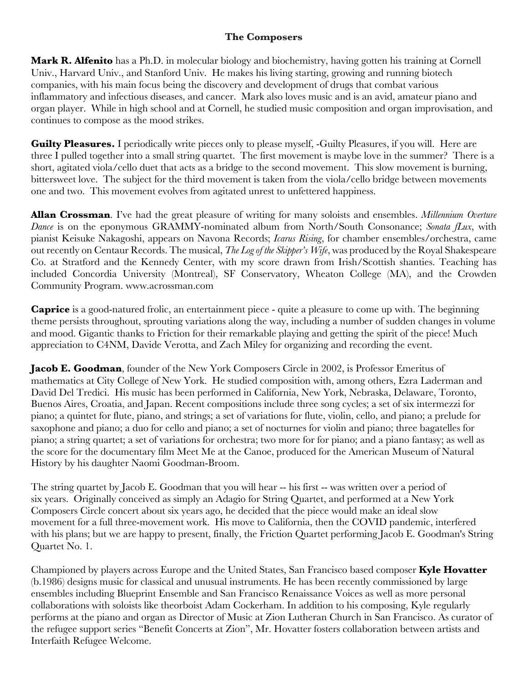## **The Composers**

**Mark R. Alfenito** has a Ph.D. in molecular biology and biochemistry, having gotten his training at Cornell Univ., Harvard Univ., and Stanford Univ. He makes his living starting, growing and running biotech companies, with his main focus being the discovery and development of drugs that combat various inflammatory and infectious diseases, and cancer. Mark also loves music and is an avid, amateur piano and organ player. While in high school and at Cornell, he studied music composition and organ improvisation, and continues to compose as the mood strikes.

**Guilty Pleasures.** I periodically write pieces only to please myself, -Guilty Pleasures, if you will. Here are three I pulled together into a small string quartet. The first movement is maybe love in the summer? There is a short, agitated viola/cello duet that acts as a bridge to the second movement. This slow movement is burning, bittersweet love. The subject for the third movement is taken from the viola/cello bridge between movements one and two. This movement evolves from agitated unrest to unfettered happiness.

**Allan Crossman**. I've had the great pleasure of writing for many soloists and ensembles. *Millennium Overture Dance* is on the eponymous GRAMMY-nominated album from North/South Consonance; *Sonata fLux*, with pianist Keisuke Nakagoshi, appears on Navona Records; *Icarus Rising*, for chamber ensembles/orchestra, came out recently on Centaur Records. The musical, *The Log of the Skipper's Wife*, was produced by the Royal Shakespeare Co. at Stratford and the Kennedy Center, with my score drawn from Irish/Scottish shanties. Teaching has included Concordia University (Montreal), SF Conservatory, Wheaton College (MA), and the Crowden Community Program. www.acrossman.com

**Caprice** is a good-natured frolic, an entertainment piece - quite a pleasure to come up with. The beginning theme persists throughout, sprouting variations along the way, including a number of sudden changes in volume and mood. Gigantic thanks to Friction for their remarkable playing and getting the spirit of the piece! Much appreciation to C4NM, Davide Verotta, and Zach Miley for organizing and recording the event.

**Jacob E. Goodman**, founder of the New York Composers Circle in 2002, is Professor Emeritus of mathematics at City College of New York. He studied composition with, among others, Ezra Laderman and David Del Tredici. His music has been performed in California, New York, Nebraska, Delaware, Toronto, Buenos Aires, Croatia, and Japan. Recent compositions include three song cycles; a set of six intermezzi for piano; a quintet for flute, piano, and strings; a set of variations for flute, violin, cello, and piano; a prelude for saxophone and piano; a duo for cello and piano; a set of nocturnes for violin and piano; three bagatelles for piano; a string quartet; a set of variations for orchestra; two more for for piano; and a piano fantasy; as well as the score for the documentary film Meet Me at the Canoe, produced for the American Museum of Natural History by his daughter Naomi Goodman-Broom.

The string quartet by Jacob E. Goodman that you will hear -- his first -- was written over a period of six years. Originally conceived as simply an Adagio for String Quartet, and performed at a New York Composers Circle concert about six years ago, he decided that the piece would make an ideal slow movement for a full three-movement work. His move to California, then the COVID pandemic, interfered with his plans; but we are happy to present, finally, the Friction Quartet performing Jacob E. Goodman's String Quartet No. 1.

Championed by players across Europe and the United States, San Francisco based composer **Kyle Hovatter** (b.1986) designs music for classical and unusual instruments. He has been recently commissioned by large ensembles including Blueprint Ensemble and San Francisco Renaissance Voices as well as more personal collaborations with soloists like theorboist Adam Cockerham. In addition to his composing, Kyle regularly performs at the piano and organ as Director of Music at Zion Lutheran Church in San Francisco. As curator of the refugee support series "Benefit Concerts at Zion", Mr. Hovatter fosters collaboration between artists and Interfaith Refugee Welcome.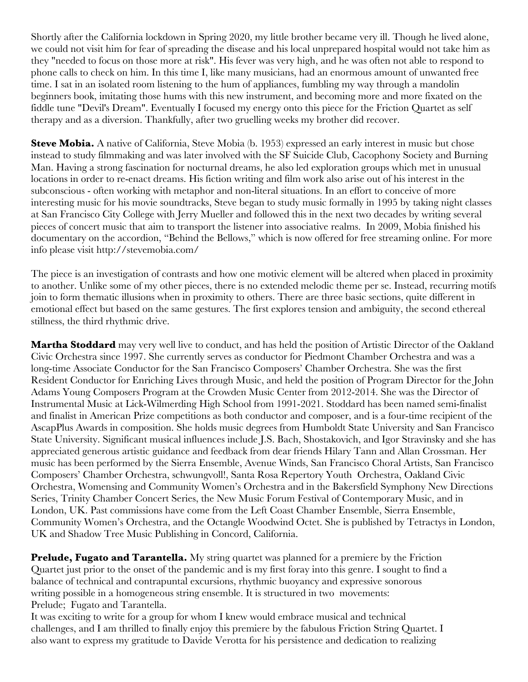Shortly after the California lockdown in Spring 2020, my little brother became very ill. Though he lived alone, we could not visit him for fear of spreading the disease and his local unprepared hospital would not take him as they "needed to focus on those more at risk". His fever was very high, and he was often not able to respond to phone calls to check on him. In this time I, like many musicians, had an enormous amount of unwanted free time. I sat in an isolated room listening to the hum of appliances, fumbling my way through a mandolin beginners book, imitating those hums with this new instrument, and becoming more and more fixated on the fiddle tune "Devil's Dream". Eventually I focused my energy onto this piece for the Friction Quartet as self therapy and as a diversion. Thankfully, after two gruelling weeks my brother did recover.

**Steve Mobia.** A native of California, Steve Mobia (b. 1953) expressed an early interest in music but chose instead to study filmmaking and was later involved with the SF Suicide Club, Cacophony Society and Burning Man. Having a strong fascination for nocturnal dreams, he also led exploration groups which met in unusual locations in order to re-enact dreams. His fiction writing and film work also arise out of his interest in the subconscious - often working with metaphor and non-literal situations. In an effort to conceive of more interesting music for his movie soundtracks, Steve began to study music formally in 1995 by taking night classes at San Francisco City College with Jerry Mueller and followed this in the next two decades by writing several pieces of concert music that aim to transport the listener into associative realms. In 2009, Mobia finished his documentary on the accordion, "Behind the Bellows," which is now offered for free streaming online. For more info please visit http://stevemobia.com/

The piece is an investigation of contrasts and how one motivic element will be altered when placed in proximity to another. Unlike some of my other pieces, there is no extended melodic theme per se. Instead, recurring motifs join to form thematic illusions when in proximity to others. There are three basic sections, quite different in emotional effect but based on the same gestures. The first explores tension and ambiguity, the second ethereal stillness, the third rhythmic drive.

**Martha Stoddard** may very well live to conduct, and has held the position of Artistic Director of the Oakland Civic Orchestra since 1997. She currently serves as conductor for Piedmont Chamber Orchestra and was a long-time Associate Conductor for the San Francisco Composers' Chamber Orchestra. She was the first Resident Conductor for Enriching Lives through Music, and held the position of Program Director for the John Adams Young Composers Program at the Crowden Music Center from 2012-2014. She was the Director of Instrumental Music at Lick-Wilmerding High School from 1991-2021. Stoddard has been named semi-finalist and finalist in American Prize competitions as both conductor and composer, and is a four-time recipient of the AscapPlus Awards in composition. She holds music degrees from Humboldt State University and San Francisco State University. Significant musical influences include J.S. Bach, Shostakovich, and Igor Stravinsky and she has appreciated generous artistic guidance and feedback from dear friends Hilary Tann and Allan Crossman. Her music has been performed by the Sierra Ensemble, Avenue Winds, San Francisco Choral Artists, San Francisco Composers' Chamber Orchestra, schwungvoll!, Santa Rosa Repertory Youth Orchestra, Oakland Civic Orchestra, Womensing and Community Women's Orchestra and in the Bakersfield Symphony New Directions Series, Trinity Chamber Concert Series, the New Music Forum Festival of Contemporary Music, and in London, UK. Past commissions have come from the Left Coast Chamber Ensemble, Sierra Ensemble, Community Women's Orchestra, and the Octangle Woodwind Octet. She is published by Tetractys in London, UK and Shadow Tree Music Publishing in Concord, California.

**Prelude, Fugato and Tarantella.** My string quartet was planned for a premiere by the Friction Quartet just prior to the onset of the pandemic and is my first foray into this genre. I sought to find a balance of technical and contrapuntal excursions, rhythmic buoyancy and expressive sonorous writing possible in a homogeneous string ensemble. It is structured in two movements: Prelude; Fugato and Tarantella.

It was exciting to write for a group for whom I knew would embrace musical and technical challenges, and I am thrilled to finally enjoy this premiere by the fabulous Friction String Quartet. I also want to express my gratitude to Davide Verotta for his persistence and dedication to realizing